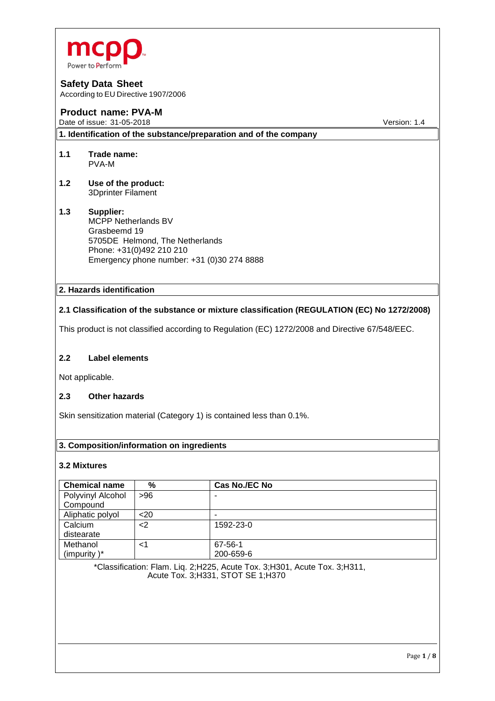

According to EU Directive 1907/2006

## **Product name: PVA-M**

Date of issue: 31-05-2018 **Version: 1.4** 

**1. Identification of the substance/preparation and of the company**

- **1.1 Trade name:** PVA-M
- **1.2 Use of the product:** 3Dprinter Filament

## **1.3 Supplier:** MCPP Netherlands BV Grasbeemd 19 5705DE Helmond, The Netherlands Phone: +31(0)492 210 210 Emergency phone number: +31 (0)30 274 8888

## **2. Hazards identification**

## **2.1 Classification of the substance or mixture classification (REGULATION (EC) No 1272/2008)**

This product is not classified according to Regulation (EC) 1272/2008 and Directive 67/548/EEC.

## **2.2 Label elements**

Not applicable.

## **2.3 Other hazards**

Skin sensitization material (Category 1) is contained less than 0.1%.

## **3. Composition/information on ingredients**

## **3.2 Mixtures**

| <b>Chemical name</b> | %    | Cas No./EC No |
|----------------------|------|---------------|
| Polyvinyl Alcohol    | >96  |               |
| Compound             |      |               |
| Aliphatic polyol     | $20$ | -             |
| Calcium              | $2$  | 1592-23-0     |
| distearate           |      |               |
| Methanol             | ا>   | 67-56-1       |
| (impurity) $*$       |      | 200-659-6     |

\*Classification: Flam. Liq. 2;H225, Acute Tox. 3;H301, Acute Tox. 3;H311, Acute Tox. 3;H331, STOT SE 1;H370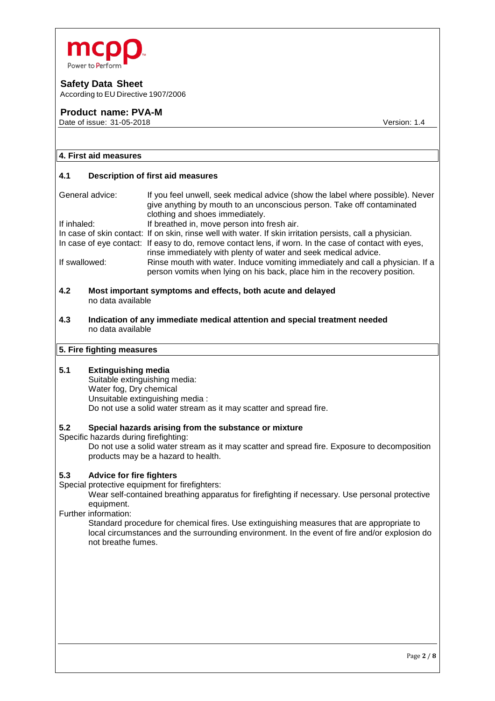

According to EU Directive 1907/2006

## **Product name: PVA-M**

Date of issue: 31-05-2018 **Version: 1.4** 

## **4. First aid measures**

#### **4.1 Description of first aid measures**

| General advice: | If you feel unwell, seek medical advice (show the label where possible). Never<br>give anything by mouth to an unconscious person. Take off contaminated<br>clothing and shoes immediately. |
|-----------------|---------------------------------------------------------------------------------------------------------------------------------------------------------------------------------------------|
| If inhaled:     | If breathed in, move person into fresh air.                                                                                                                                                 |
|                 | In case of skin contact: If on skin, rinse well with water. If skin irritation persists, call a physician.                                                                                  |
|                 | In case of eye contact: If easy to do, remove contact lens, if worn. In the case of contact with eyes,<br>rinse immediately with plenty of water and seek medical advice.                   |
| If swallowed:   | Rinse mouth with water. Induce vomiting immediately and call a physician. If a<br>person vomits when lying on his back, place him in the recovery position.                                 |

- **4.2 Most important symptoms and effects, both acute and delayed** no data available
- **4.3 Indication of any immediate medical attention and special treatment needed** no data available

# **5. Fire fighting measures**

## **5.1 Extinguishing media**

Suitable extinguishing media: Water fog, Dry chemical Unsuitable extinguishing media : Do not use a solid water stream as it may scatter and spread fire.

#### **5.2 Special hazards arising from the substance or mixture**

Specific hazards during firefighting:

Do not use a solid water stream as it may scatter and spread fire. Exposure to decomposition products may be a hazard to health.

#### **5.3 Advice for fire fighters**

Special protective equipment for firefighters:

Wear self-contained breathing apparatus for firefighting if necessary. Use personal protective equipment.

Further information:

Standard procedure for chemical fires. Use extinguishing measures that are appropriate to local circumstances and the surrounding environment. In the event of fire and/or explosion do not breathe fumes.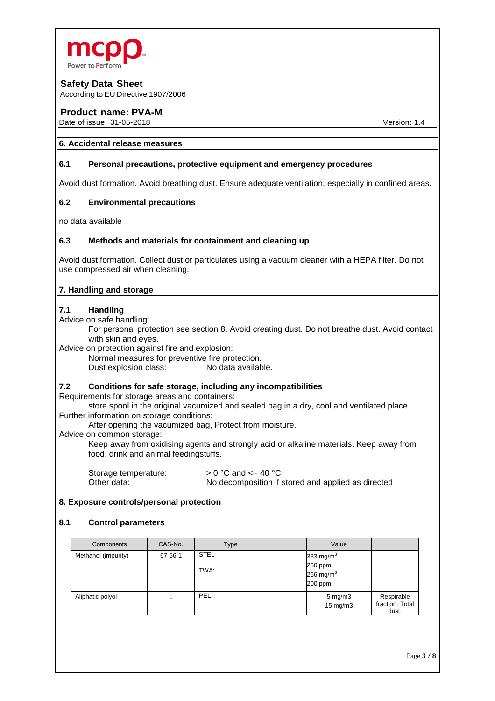

According to EU Directive 1907/2006

## **Product name: PVA-M**

Date of issue: 31-05-2018 **Version: 1.4** 

#### **6. Accidental release measures**

## **6.1 Personal precautions, protective equipment and emergency procedures**

Avoid dust formation. Avoid breathing dust. Ensure adequate ventilation, especially in confined areas.

## **6.2 Environmental precautions**

no data available

## **6.3 Methods and materials for containment and cleaning up**

Avoid dust formation. Collect dust or particulates using a vacuum cleaner with a HEPA filter. Do not use compressed air when cleaning.

## **7. Handling and storage**

#### **7.1 Handling**

Advice on safe handling:

For personal protection see section 8. Avoid creating dust. Do not breathe dust. Avoid contact with skin and eyes.

Advice on protection against fire and explosion:

Normal measures for preventive fire protection. Dust explosion class: No data available.

#### **7.2 Conditions for safe storage, including any incompatibilities**

Requirements for storage areas and containers:

store spool in the original vacumized and sealed bag in a dry, cool and ventilated place. Further information on storage conditions:

After opening the vacumized bag, Protect from moisture.

#### Advice on common storage:

Keep away from oxidising agents and strongly acid or alkaline materials. Keep away from food, drink and animal feedingstuffs.

Storage temperature:  $> 0 °C$  and  $\lt = 40 °C$ <br>Other data:  $\lt$  No decomposition if No decomposition if stored and applied as directed

## **8. Exposure controls/personal protection**

## **8.1 Control parameters**

| Components          | CAS-No. | Type                | Value                                              |                                        |
|---------------------|---------|---------------------|----------------------------------------------------|----------------------------------------|
| Methanol (impurity) | 67-56-1 | <b>STEL</b><br>TWA: | 333 mg/m $3$<br>250 ppm<br>266 mg/m $3$<br>200 ppm |                                        |
| Aliphatic polyol    |         | PEL                 | $5 \text{ mg/m}$<br>15 mg/m3                       | Respirable<br>fraction. Total<br>dust. |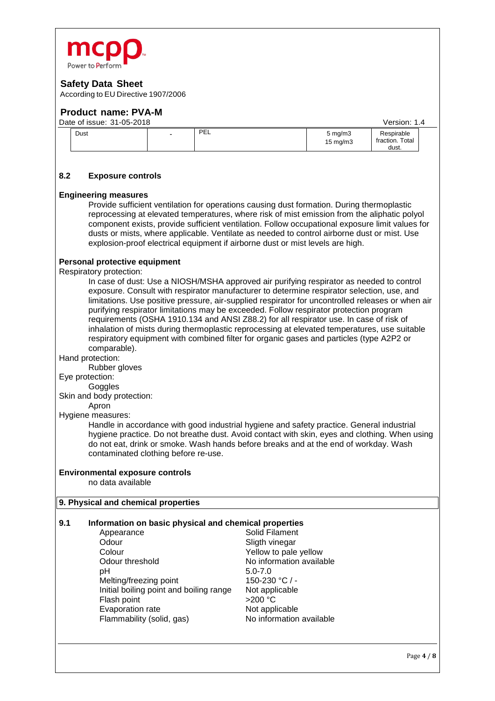

According to EU Directive 1907/2006

## **Product name: PVA-M**

| Date of issue: 31-05-2018<br>Version: 1.4 |                          |     |                                       |                                        |  |
|-------------------------------------------|--------------------------|-----|---------------------------------------|----------------------------------------|--|
| Dust                                      | $\overline{\phantom{0}}$ | PEL | $5 \text{ mg/m}$<br>$15 \text{ mg/m}$ | Respirable<br>fraction. Total<br>dust. |  |

## **8.2 Exposure controls**

#### **Engineering measures**

Provide sufficient ventilation for operations causing dust formation. During thermoplastic reprocessing at elevated temperatures, where risk of mist emission from the aliphatic polyol component exists, provide sufficient ventilation. Follow occupational exposure limit values for dusts or mists, where applicable. Ventilate as needed to control airborne dust or mist. Use explosion-proof electrical equipment if airborne dust or mist levels are high.

#### **Personal protective equipment**

Respiratory protection:

In case of dust: Use a NIOSH/MSHA approved air purifying respirator as needed to control exposure. Consult with respirator manufacturer to determine respirator selection, use, and limitations. Use positive pressure, air-supplied respirator for uncontrolled releases or when air purifying respirator limitations may be exceeded. Follow respirator protection program requirements (OSHA 1910.134 and ANSI Z88.2) for all respirator use. In case of risk of inhalation of mists during thermoplastic reprocessing at elevated temperatures, use suitable respiratory equipment with combined filter for organic gases and particles (type A2P2 or comparable).

Hand protection:

Rubber gloves

## Eye protection:

Goggles

Skin and body protection:

#### Apron

## Hygiene measures:

Handle in accordance with good industrial hygiene and safety practice. General industrial hygiene practice. Do not breathe dust. Avoid contact with skin, eyes and clothing. When using do not eat, drink or smoke. Wash hands before breaks and at the end of workday. Wash contaminated clothing before re-use.

#### **Environmental exposure controls**

no data available

#### **9. Physical and chemical properties**

#### **9.1 Information on basic physical and chemical properties**

Appearance Solid Filament Odour Sligth vinegar<br>
Colour Colour Sellow to pale Colour Colour Colour Colour Colour Colour threshold Colour Press, and Muslem Colour Colour Colour Colour Colou<br>
Colour threshold Colour Colour Colour Colour Colour Colour Colour Colour Colour Colour Colour Colour Colour C Odour threshold<br>
pH 5.0-7.0 Melting/freezing point Initial boiling point and boiling range Not applicable<br>Flash point  $>200 °C$ Flash point Evaporation rate Not applicable Flammability (solid, gas) No information available

 $5.0 - 7.0$ <br>150-230 °C / -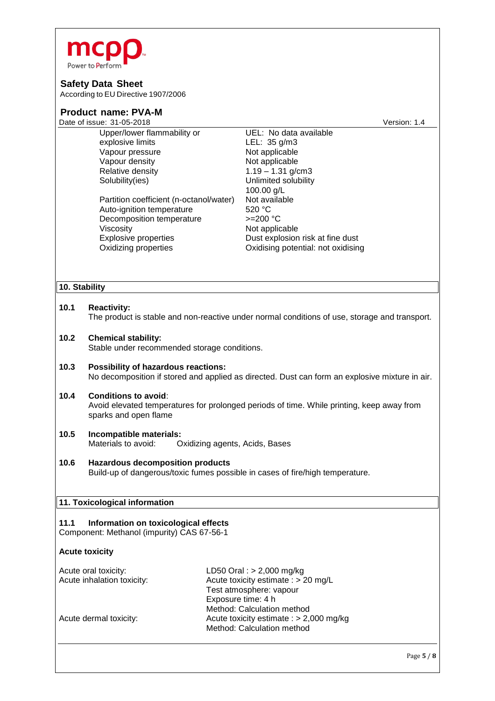

According to EU Directive 1907/2006

| <b>Product name: PVA-M</b>                                          |                                                 |                                                                                                |  |
|---------------------------------------------------------------------|-------------------------------------------------|------------------------------------------------------------------------------------------------|--|
|                                                                     | Date of issue: 31-05-2018                       | Version: 1.4                                                                                   |  |
|                                                                     | Upper/lower flammability or<br>explosive limits | UEL: No data available<br>LEL: 35 g/m3                                                         |  |
|                                                                     | Vapour pressure                                 | Not applicable                                                                                 |  |
|                                                                     | Vapour density                                  | Not applicable                                                                                 |  |
|                                                                     | Relative density                                | $1.19 - 1.31$ g/cm3                                                                            |  |
|                                                                     | Solubility(ies)                                 | Unlimited solubility                                                                           |  |
|                                                                     |                                                 | 100.00 g/L                                                                                     |  |
|                                                                     | Partition coefficient (n-octanol/water)         | Not available                                                                                  |  |
|                                                                     | Auto-ignition temperature                       | 520 °C                                                                                         |  |
|                                                                     | Decomposition temperature                       | $>=200 °C$                                                                                     |  |
|                                                                     | Viscosity                                       | Not applicable                                                                                 |  |
|                                                                     | <b>Explosive properties</b>                     | Dust explosion risk at fine dust                                                               |  |
|                                                                     | Oxidizing properties                            | Oxidising potential: not oxidising                                                             |  |
|                                                                     |                                                 |                                                                                                |  |
| 10. Stability                                                       |                                                 |                                                                                                |  |
| 10.1                                                                | <b>Reactivity:</b>                              |                                                                                                |  |
|                                                                     |                                                 | The product is stable and non-reactive under normal conditions of use, storage and transport.  |  |
|                                                                     |                                                 |                                                                                                |  |
| 10.2                                                                | <b>Chemical stability:</b>                      |                                                                                                |  |
|                                                                     | Stable under recommended storage conditions.    |                                                                                                |  |
|                                                                     |                                                 |                                                                                                |  |
| 10.3                                                                | Possibility of hazardous reactions:             |                                                                                                |  |
|                                                                     |                                                 | No decomposition if stored and applied as directed. Dust can form an explosive mixture in air. |  |
|                                                                     |                                                 |                                                                                                |  |
| 10.4                                                                | <b>Conditions to avoid:</b>                     | Avoid elevated temperatures for prolonged periods of time. While printing, keep away from      |  |
|                                                                     | sparks and open flame                           |                                                                                                |  |
|                                                                     |                                                 |                                                                                                |  |
| 10.5                                                                | Incompatible materials:                         |                                                                                                |  |
|                                                                     | Materials to avoid:                             | Oxidizing agents, Acids, Bases                                                                 |  |
|                                                                     |                                                 |                                                                                                |  |
| 10.6                                                                | <b>Hazardous decomposition products</b>         |                                                                                                |  |
|                                                                     |                                                 | Build-up of dangerous/toxic fumes possible in cases of fire/high temperature.                  |  |
|                                                                     |                                                 |                                                                                                |  |
|                                                                     | 11. Toxicological information                   |                                                                                                |  |
|                                                                     |                                                 |                                                                                                |  |
| 11.1                                                                | Information on toxicological effects            |                                                                                                |  |
|                                                                     | Component: Methanol (impurity) CAS 67-56-1      |                                                                                                |  |
|                                                                     | <b>Acute toxicity</b>                           |                                                                                                |  |
| Acute oral toxicity:<br>LD50 Oral : $> 2,000$ mg/kg                 |                                                 |                                                                                                |  |
| Acute inhalation toxicity:                                          |                                                 | Acute toxicity estimate : > 20 mg/L                                                            |  |
|                                                                     |                                                 | Test atmosphere: vapour                                                                        |  |
|                                                                     |                                                 | Exposure time: 4 h                                                                             |  |
|                                                                     |                                                 | Method: Calculation method                                                                     |  |
| Acute toxicity estimate : $> 2,000$ mg/kg<br>Acute dermal toxicity: |                                                 |                                                                                                |  |
|                                                                     |                                                 | Method: Calculation method                                                                     |  |
|                                                                     |                                                 |                                                                                                |  |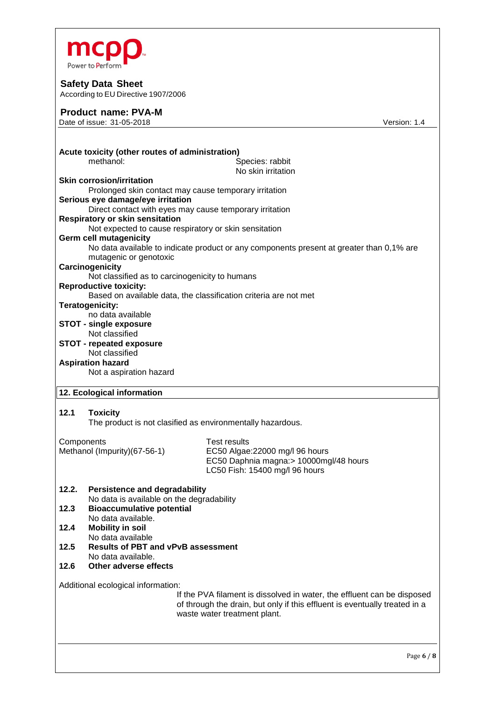

According to EU Directive 1907/2006

## **Product name: PVA-M**

Date of issue: 31-05-2018 Version: 1.4

|            | Acute toxicity (other routes of administration)<br>methanol:                                        | Species: rabbit                                                                                                                                                                       |  |
|------------|-----------------------------------------------------------------------------------------------------|---------------------------------------------------------------------------------------------------------------------------------------------------------------------------------------|--|
|            | <b>Skin corrosion/irritation</b>                                                                    | No skin irritation                                                                                                                                                                    |  |
|            | Serious eye damage/eye irritation<br><b>Respiratory or skin sensitation</b>                         | Prolonged skin contact may cause temporary irritation<br>Direct contact with eyes may cause temporary irritation                                                                      |  |
|            | <b>Germ cell mutagenicity</b><br>mutagenic or genotoxic                                             | Not expected to cause respiratory or skin sensitation<br>No data available to indicate product or any components present at greater than 0,1% are                                     |  |
|            | Carcinogenicity<br>Not classified as to carcinogenicity to humans                                   |                                                                                                                                                                                       |  |
|            | <b>Reproductive toxicity:</b>                                                                       | Based on available data, the classification criteria are not met                                                                                                                      |  |
|            | Teratogenicity:<br>no data available                                                                |                                                                                                                                                                                       |  |
|            | <b>STOT - single exposure</b>                                                                       |                                                                                                                                                                                       |  |
|            | Not classified<br><b>STOT - repeated exposure</b><br>Not classified                                 |                                                                                                                                                                                       |  |
|            | <b>Aspiration hazard</b><br>Not a aspiration hazard                                                 |                                                                                                                                                                                       |  |
|            | 12. Ecological information                                                                          |                                                                                                                                                                                       |  |
| 12.1       | <b>Toxicity</b>                                                                                     | The product is not clasified as environmentally hazardous.                                                                                                                            |  |
| Components | Methanol (Impurity) (67-56-1)                                                                       | <b>Test results</b><br>EC50 Algae: 22000 mg/l 96 hours<br>EC50 Daphnia magna: > 10000mgl/48 hours<br>LC50 Fish: 15400 mg/l 96 hours                                                   |  |
| 12.2.      | <b>Persistence and degradability</b>                                                                |                                                                                                                                                                                       |  |
| 12.3       | No data is available on the degradability<br><b>Bioaccumulative potential</b><br>No data available. |                                                                                                                                                                                       |  |
| 12.4       | <b>Mobility in soil</b><br>No data available                                                        |                                                                                                                                                                                       |  |
| 12.5       | <b>Results of PBT and vPvB assessment</b><br>No data available.                                     |                                                                                                                                                                                       |  |
| 12.6       | Other adverse effects                                                                               |                                                                                                                                                                                       |  |
|            | Additional ecological information:                                                                  | If the PVA filament is dissolved in water, the effluent can be disposed<br>of through the drain, but only if this effluent is eventually treated in a<br>waste water treatment plant. |  |
|            |                                                                                                     | Page 6 / 8                                                                                                                                                                            |  |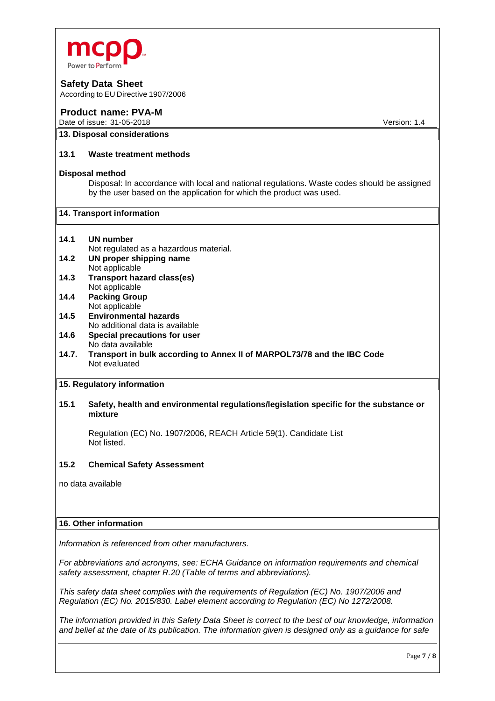

According to EU Directive 1907/2006

## **Product name: PVA-M**

**13. Disposal considerations**

Date of issue: 31-05-2018 **Version:** 1.4

# **13.1 Waste treatment methods**

## **Disposal method**

Disposal: In accordance with local and national regulations. Waste codes should be assigned by the user based on the application for which the product was used.

#### **14. Transport information**

- **14.1 UN number** Not regulated as a hazardous material. **14.2 UN proper shipping name**
- Not applicable
- **14.3 Transport hazard class(es)** Not applicable **14.4 Packing Group**
- Not applicable **14.5 Environmental hazards**
- No additional data is available **14.6 Special precautions for user**
- No data available
- **14.7. Transport in bulk according to Annex II of MARPOL73/78 and the IBC Code** Not evaluated

## **15. Regulatory information**

## **15.1 Safety, health and environmental regulations/legislation specific for the substance or mixture**

Regulation (EC) No. 1907/2006, REACH Article 59(1). Candidate List Not listed.

#### **15.2 Chemical Safety Assessment**

no data available

#### **16. Other information**

*Information is referenced from other manufacturers.* 

*For abbreviations and acronyms, see: ECHA Guidance on information requirements and chemical safety assessment, chapter R.20 (Table of terms and abbreviations).*

*This safety data sheet complies with the requirements of Regulation (EC) No. 1907/2006 and Regulation (EC) No. 2015/830. Label element according to Regulation (EC) No 1272/2008.*

*The information provided in this Safety Data Sheet is correct to the best of our knowledge, information and belief at the date of its publication. The information given is designed only as a guidance for safe*